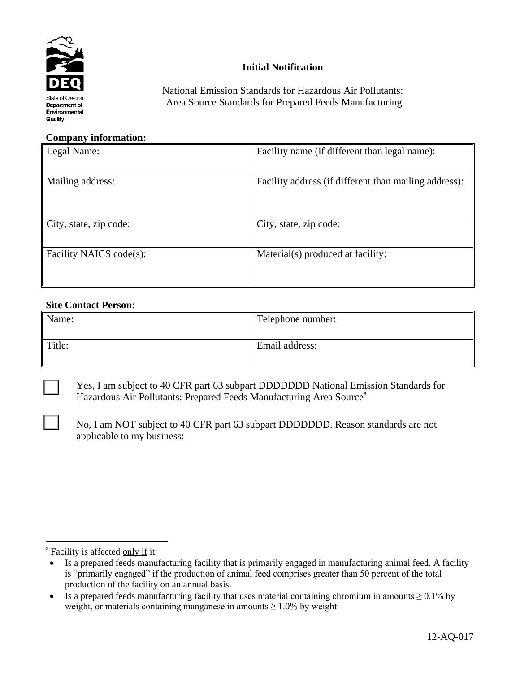

# **Initial Notification**

National Emission Standards for Hazardous Air Pollutants: Area Source Standards for Prepared Feeds Manufacturing

#### **Company information:**

| Legal Name:             | Facility name (if different than legal name):         |  |  |  |
|-------------------------|-------------------------------------------------------|--|--|--|
| Mailing address:        | Facility address (if different than mailing address): |  |  |  |
| City, state, zip code:  | City, state, zip code:                                |  |  |  |
| Facility NAICS code(s): | Material(s) produced at facility:                     |  |  |  |

#### **Site Contact Person**:

| Name:  | Telephone number: |
|--------|-------------------|
| Title: | Email address:    |

 $\overline{a}$ 

 Yes, I am subject to 40 CFR part 63 subpart DDDDDDD National Emission Standards for Hazardous Air Pollutants: Prepared Feeds Manufacturing Area Source<sup>a</sup>

No, I am NOT subject to 40 CFR part 63 subpart DDDDDDD. Reason standards are not applicable to my business:

<sup>&</sup>lt;sup>a</sup> Facility is affected only if it:

Is a prepared feeds manufacturing facility that is primarily engaged in manufacturing animal feed. A facility is "primarily engaged" if the production of animal feed comprises greater than 50 percent of the total production of the facility on an annual basis.

Is a prepared feeds manufacturing facility that uses material containing chromium in amounts  $\geq 0.1\%$  by weight, or materials containing manganese in amounts  $\geq 1.0\%$  by weight.